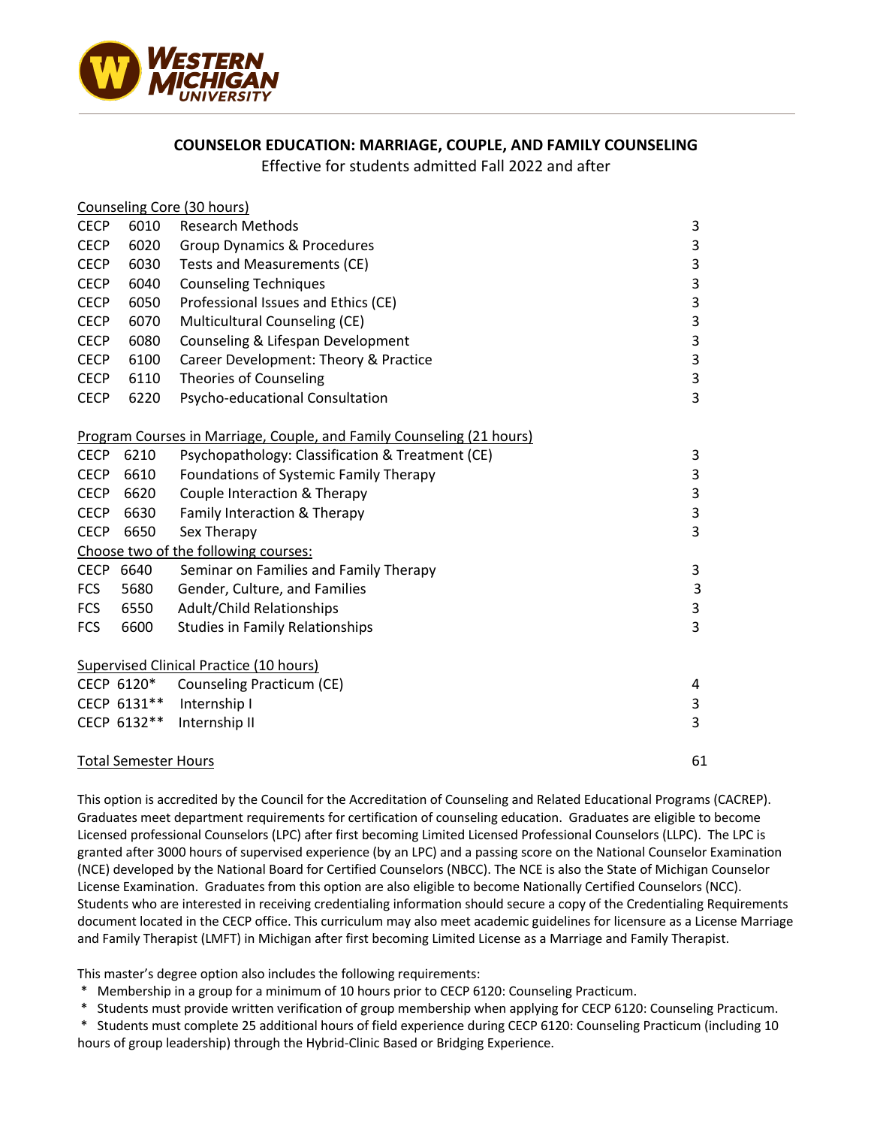

## **COUNSELOR EDUCATION: MARRIAGE, COUPLE, AND FAMILY COUNSELING**

Effective for students admitted Fall 2022 and after

|                             |             | Counseling Core (30 hours)                                            |    |
|-----------------------------|-------------|-----------------------------------------------------------------------|----|
| <b>CECP</b>                 | 6010        | <b>Research Methods</b>                                               | 3  |
| <b>CECP</b>                 | 6020        | <b>Group Dynamics &amp; Procedures</b>                                | 3  |
| <b>CECP</b>                 | 6030        | Tests and Measurements (CE)                                           | 3  |
| <b>CECP</b>                 | 6040        | <b>Counseling Techniques</b>                                          | 3  |
| <b>CECP</b>                 | 6050        | Professional Issues and Ethics (CE)                                   | 3  |
| <b>CECP</b>                 | 6070        | Multicultural Counseling (CE)                                         | 3  |
| <b>CECP</b>                 | 6080        | Counseling & Lifespan Development                                     | 3  |
| <b>CECP</b>                 | 6100        | Career Development: Theory & Practice                                 | 3  |
| <b>CECP</b>                 | 6110        | <b>Theories of Counseling</b>                                         | 3  |
| <b>CECP</b>                 | 6220        | Psycho-educational Consultation                                       | 3  |
|                             |             | Program Courses in Marriage, Couple, and Family Counseling (21 hours) |    |
| <b>CECP</b>                 | 6210        | Psychopathology: Classification & Treatment (CE)                      | 3  |
| <b>CECP</b>                 | 6610        | Foundations of Systemic Family Therapy                                | 3  |
| <b>CECP</b>                 | 6620        | Couple Interaction & Therapy                                          | 3  |
| <b>CECP</b>                 | 6630        | Family Interaction & Therapy                                          | 3  |
| <b>CECP</b>                 | 6650        | Sex Therapy                                                           | 3  |
|                             |             | Choose two of the following courses:                                  |    |
| CECP 6640                   |             | Seminar on Families and Family Therapy                                | 3  |
| <b>FCS</b>                  | 5680        | Gender, Culture, and Families                                         | 3  |
| <b>FCS</b>                  | 6550        | Adult/Child Relationships                                             | 3  |
| <b>FCS</b>                  | 6600        | <b>Studies in Family Relationships</b>                                | 3  |
|                             |             | Supervised Clinical Practice (10 hours)                               |    |
|                             | CECP 6120*  | Counseling Practicum (CE)                                             | 4  |
|                             | CECP 6131** | Internship I                                                          | 3  |
|                             | CECP 6132** | Internship II                                                         | 3  |
| <b>Total Semester Hours</b> |             |                                                                       | 61 |

This option is accredited by the Council for the Accreditation of Counseling and Related Educational Programs (CACREP). Graduates meet department requirements for certification of counseling education. Graduates are eligible to become Licensed professional Counselors (LPC) after first becoming Limited Licensed Professional Counselors (LLPC). The LPC is granted after 3000 hours of supervised experience (by an LPC) and a passing score on the National Counselor Examination (NCE) developed by the National Board for Certified Counselors (NBCC). The NCE is also the State of Michigan Counselor License Examination. Graduates from this option are also eligible to become Nationally Certified Counselors (NCC). Students who are interested in receiving credentialing information should secure a copy of the Credentialing Requirements document located in the CECP office. This curriculum may also meet academic guidelines for licensure as a License Marriage and Family Therapist (LMFT) in Michigan after first becoming Limited License as a Marriage and Family Therapist.

This master's degree option also includes the following requirements:

- \* Membership in a group for a minimum of 10 hours prior to CECP 6120: Counseling Practicum.
- \* Students must provide written verification of group membership when applying for CECP 6120: Counseling Practicum.

\* Students must complete 25 additional hours of field experience during CECP 6120: Counseling Practicum (including 10 hours of group leadership) through the Hybrid-Clinic Based or Bridging Experience.